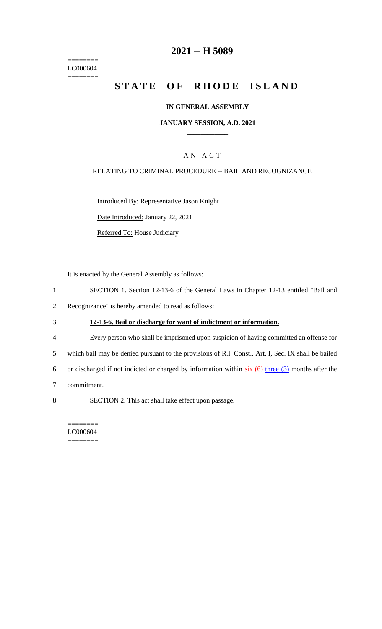$=$ LC000604  $=$ 

## **2021 -- H 5089**

# **STATE OF RHODE ISLAND**

#### **IN GENERAL ASSEMBLY**

#### **JANUARY SESSION, A.D. 2021 \_\_\_\_\_\_\_\_\_\_\_\_**

## A N A C T

#### RELATING TO CRIMINAL PROCEDURE -- BAIL AND RECOGNIZANCE

Introduced By: Representative Jason Knight

Date Introduced: January 22, 2021

Referred To: House Judiciary

It is enacted by the General Assembly as follows:

- 1 SECTION 1. Section 12-13-6 of the General Laws in Chapter 12-13 entitled "Bail and
- 2 Recognizance" is hereby amended to read as follows:
- 3 **12-13-6. Bail or discharge for want of indictment or information.**
- 4 Every person who shall be imprisoned upon suspicion of having committed an offense for

5 which bail may be denied pursuant to the provisions of R.I. Const., Art. I, Sec. IX shall be bailed

6 or discharged if not indicted or charged by information within  $s$ ix  $(6)$  three  $(3)$  months after the

- 7 commitment.
- 8 SECTION 2. This act shall take effect upon passage.

======== LC000604 ========